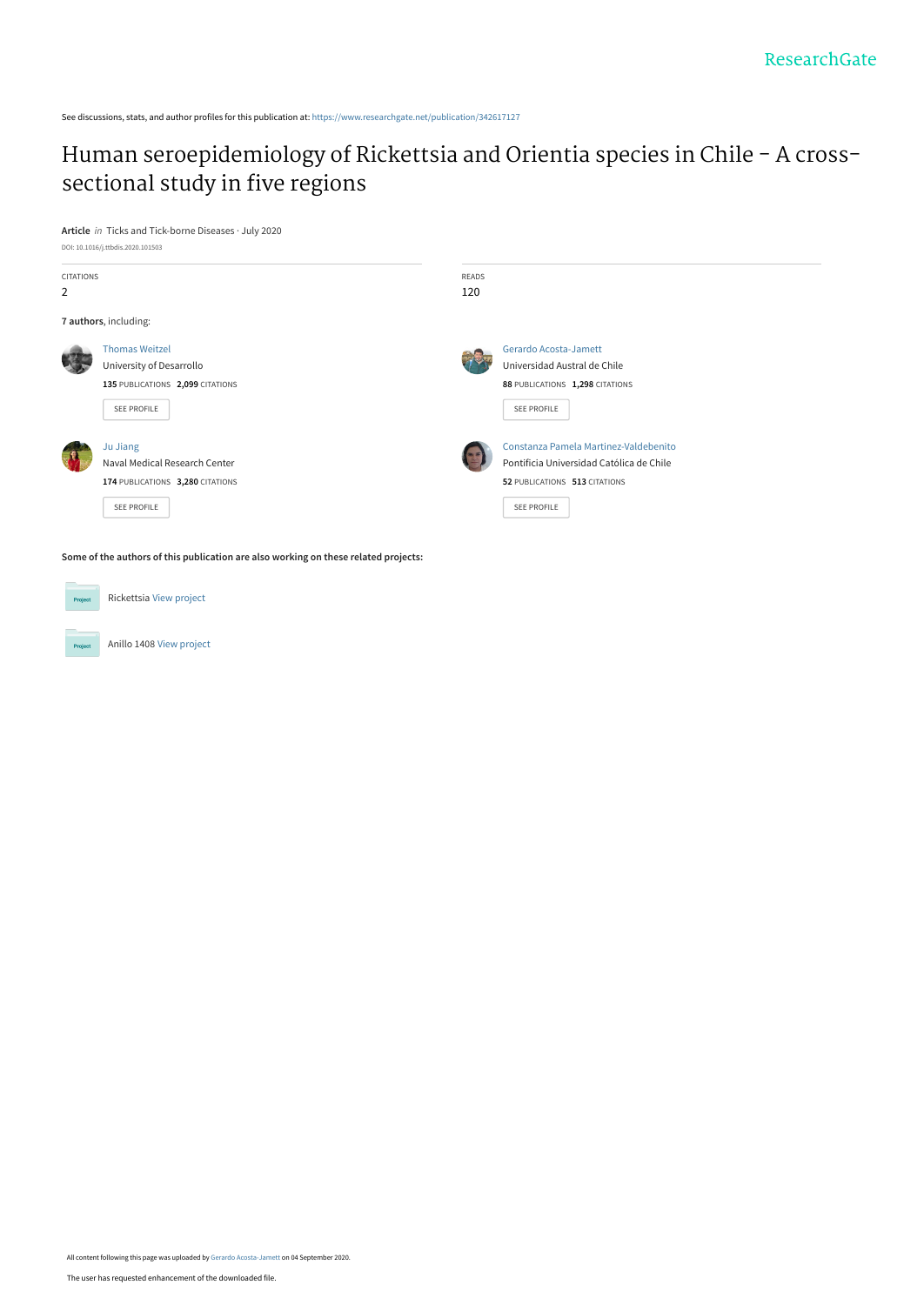See discussions, stats, and author profiles for this publication at: [https://www.researchgate.net/publication/342617127](https://www.researchgate.net/publication/342617127_Human_seroepidemiology_of_Rickettsia_and_Orientia_species_in_Chile_-_A_cross-sectional_study_in_five_regions?enrichId=rgreq-df2270bf7280454236fc3fbb72fd8272-XXX&enrichSource=Y292ZXJQYWdlOzM0MjYxNzEyNztBUzo5MzE4NjYxMjMxNzM4OTRAMTU5OTE4NTYwNTM0NQ%3D%3D&el=1_x_2&_esc=publicationCoverPdf)

# [Human seroepidemiology of Rickettsia and Orientia species in Chile - A cross](https://www.researchgate.net/publication/342617127_Human_seroepidemiology_of_Rickettsia_and_Orientia_species_in_Chile_-_A_cross-sectional_study_in_five_regions?enrichId=rgreq-df2270bf7280454236fc3fbb72fd8272-XXX&enrichSource=Y292ZXJQYWdlOzM0MjYxNzEyNztBUzo5MzE4NjYxMjMxNzM4OTRAMTU5OTE4NTYwNTM0NQ%3D%3D&el=1_x_3&_esc=publicationCoverPdf)sectional study in five regions

**Article** in Ticks and Tick-borne Diseases · July 2020



**Some of the authors of this publication are also working on these related projects:**



Project

Anillo 1408 [View project](https://www.researchgate.net/project/Anillo-1408?enrichId=rgreq-df2270bf7280454236fc3fbb72fd8272-XXX&enrichSource=Y292ZXJQYWdlOzM0MjYxNzEyNztBUzo5MzE4NjYxMjMxNzM4OTRAMTU5OTE4NTYwNTM0NQ%3D%3D&el=1_x_9&_esc=publicationCoverPdf)

Rickettsia [View project](https://www.researchgate.net/project/Rickettsia?enrichId=rgreq-df2270bf7280454236fc3fbb72fd8272-XXX&enrichSource=Y292ZXJQYWdlOzM0MjYxNzEyNztBUzo5MzE4NjYxMjMxNzM4OTRAMTU5OTE4NTYwNTM0NQ%3D%3D&el=1_x_9&_esc=publicationCoverPdf)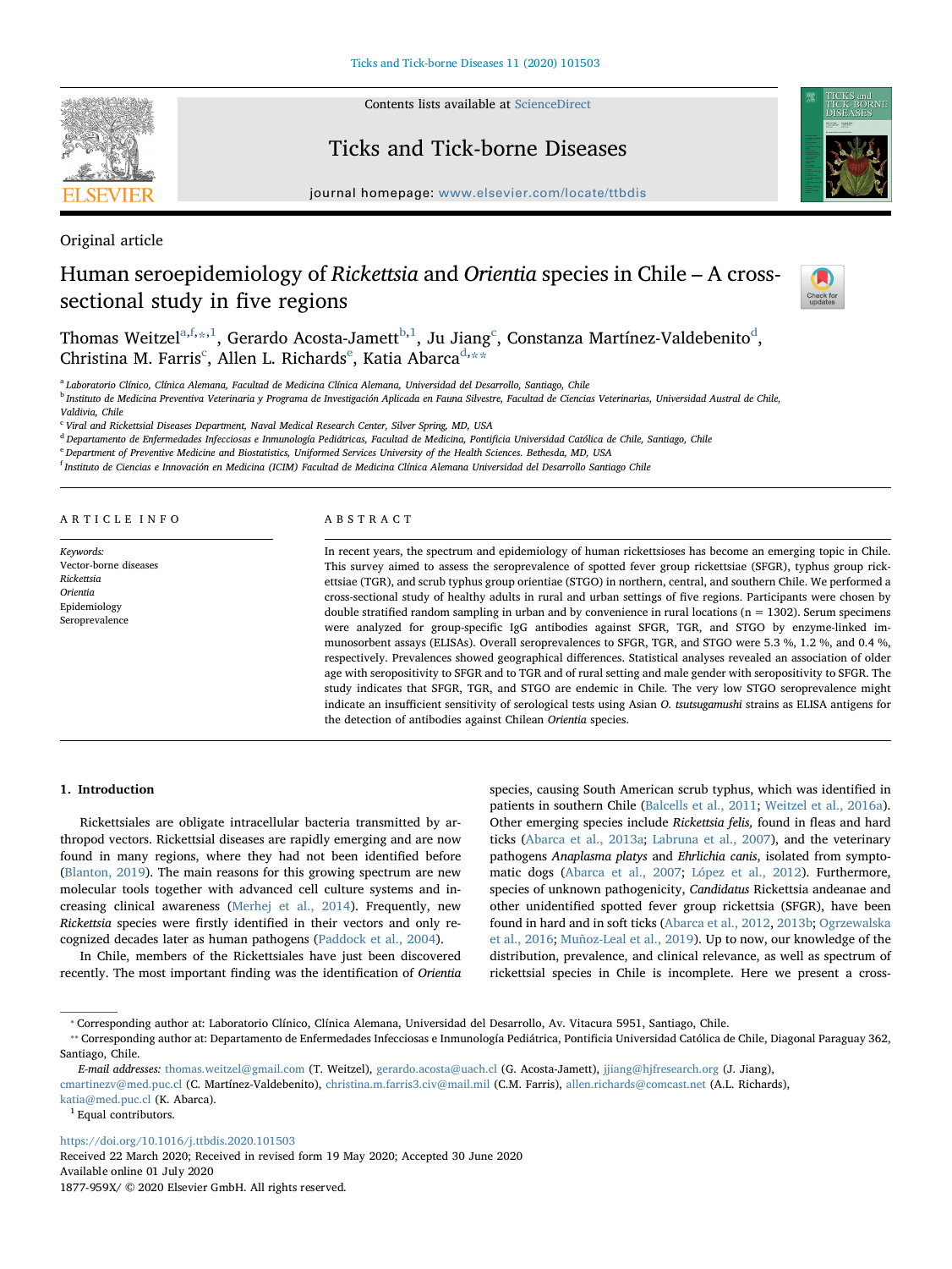

Contents lists available at [ScienceDirect](http://www.sciencedirect.com/science/journal/1877959X)

Ticks and Tick-borne Diseases



journal homepage: [www.elsevier.com/locate/ttbdis](https://www.elsevier.com/locate/ttbdis)

Original article

## Human seroepidemiology of Rickettsia and Orientia species in Chile – A crosssectional study in five regions



Thomas Weitzel $^{\mathrm{a},\mathrm{f},\mathrm{a},1}$  $^{\mathrm{a},\mathrm{f},\mathrm{a},1}$  $^{\mathrm{a},\mathrm{f},\mathrm{a},1}$ , Gerardo A[c](#page-1-5)osta-Jamett $^{\mathrm{b},1}$  $^{\mathrm{b},1}$  $^{\mathrm{b},1}$ , Ju Jiang $^{\mathrm{c}}$ , Constanza Martínez-Val[d](#page-1-6)ebenito $^{\mathrm{d}}$ , Christina M. Farris<sup>[c](#page-1-5)</sup>, All[e](#page-1-7)n L. Richar[d](#page-1-6)s<sup>e</sup>, Katia Abarca<sup>d,</sup>[\\*\\*](#page-1-8)

<span id="page-1-0"></span><sup>a</sup> Laboratorio Clínico, Clínica Alemana, Facultad de Medicina Clínica Alemana, Universidad del Desarrollo, Santiago, Chile

<span id="page-1-4"></span><sup>b</sup> Instituto de Medicina Preventiva Veterinaria y Programa de Investigación Aplicada en Fauna Silvestre, Facultad de Ciencias Veterinarias, Universidad Austral de Chile, Valdivia, Chile

<span id="page-1-5"></span><sup>c</sup> Viral and Rickettsial Diseases Department, Naval Medical Research Center, Silver Spring, MD, USA

<span id="page-1-6"></span><sup>d</sup> Departamento de Enfermedades Infecciosas e Inmunología Pediátricas, Facultad de Medicina, Pontificia Universidad Católica de Chile, Santiago, Chile

<span id="page-1-7"></span><sup>e</sup> Department of Preventive Medicine and Biostatistics, Uniformed Services University of the Health Sciences. Bethesda, MD, USA

<span id="page-1-1"></span><sup>f</sup> Instituto de Ciencias e Innovación en Medicina (ICIM) Facultad de Medicina Clínica Alemana Universidad del Desarrollo Santiago Chile

#### ARTICLE INFO

Keywords: Vector-borne diseases Rickettsia Orientia Epidemiology Seroprevalence

#### ABSTRACT

In recent years, the spectrum and epidemiology of human rickettsioses has become an emerging topic in Chile. This survey aimed to assess the seroprevalence of spotted fever group rickettsiae (SFGR), typhus group rickettsiae (TGR), and scrub typhus group orientiae (STGO) in northern, central, and southern Chile. We performed a cross-sectional study of healthy adults in rural and urban settings of five regions. Participants were chosen by double stratified random sampling in urban and by convenience in rural locations ( $n = 1302$ ). Serum specimens were analyzed for group-specific IgG antibodies against SFGR, TGR, and STGO by enzyme-linked immunosorbent assays (ELISAs). Overall seroprevalences to SFGR, TGR, and STGO were 5.3 %, 1.2 %, and 0.4 %, respectively. Prevalences showed geographical differences. Statistical analyses revealed an association of older age with seropositivity to SFGR and to TGR and of rural setting and male gender with seropositivity to SFGR. The study indicates that SFGR, TGR, and STGO are endemic in Chile. The very low STGO seroprevalence might indicate an insufficient sensitivity of serological tests using Asian O. tsutsugamushi strains as ELISA antigens for the detection of antibodies against Chilean Orientia species.

## 1. Introduction

Rickettsiales are obligate intracellular bacteria transmitted by arthropod vectors. Rickettsial diseases are rapidly emerging and are now found in many regions, where they had not been identified before ([Blanton, 2019\)](#page-6-0). The main reasons for this growing spectrum are new molecular tools together with advanced cell culture systems and increasing clinical awareness [\(Merhej et al., 2014](#page-6-1)). Frequently, new Rickettsia species were firstly identified in their vectors and only recognized decades later as human pathogens [\(Paddock et al., 2004\)](#page-6-2).

In Chile, members of the Rickettsiales have just been discovered recently. The most important finding was the identification of Orientia species, causing South American scrub typhus, which was identified in patients in southern Chile ([Balcells et al., 2011;](#page-6-3) [Weitzel et al., 2016a](#page-6-4)). Other emerging species include Rickettsia felis, found in fleas and hard ticks [\(Abarca et al., 2013a;](#page-6-5) [Labruna et al., 2007](#page-6-6)), and the veterinary pathogens Anaplasma platys and Ehrlichia canis, isolated from symptomatic dogs ([Abarca et al., 2007;](#page-6-7) [López et al., 2012\)](#page-6-8). Furthermore, species of unknown pathogenicity, Candidatus Rickettsia andeanae and other unidentified spotted fever group rickettsia (SFGR), have been found in hard and in soft ticks ([Abarca et al., 2012](#page-6-9), [2013b;](#page-6-10) [Ogrzewalska](#page-6-11) [et al., 2016](#page-6-11); [Muñoz-Leal et al., 2019](#page-6-12)). Up to now, our knowledge of the distribution, prevalence, and clinical relevance, as well as spectrum of rickettsial species in Chile is incomplete. Here we present a cross-

<https://doi.org/10.1016/j.ttbdis.2020.101503>

Received 22 March 2020; Received in revised form 19 May 2020; Accepted 30 June 2020 Available online 01 July 2020 1877-959X/ © 2020 Elsevier GmbH. All rights reserved.

<span id="page-1-2"></span><sup>⁎</sup> Corresponding author at: Laboratorio Clínico, Clínica Alemana, Universidad del Desarrollo, Av. Vitacura 5951, Santiago, Chile.

<span id="page-1-8"></span><sup>⁎⁎</sup> Corresponding author at: Departamento de Enfermedades Infecciosas e Inmunología Pediátrica, Pontificia Universidad Católica de Chile, Diagonal Paraguay 362, Santiago, Chile.

E-mail addresses: [thomas.weitzel@gmail.com](mailto:thomas.weitzel@gmail.com) (T. Weitzel), [gerardo.acosta@uach.cl](mailto:gerardo.acosta@uach.cl) (G. Acosta-Jamett), [jjiang@hjfresearch.org](mailto:jjiang@hjfresearch.org) (J. Jiang),

[cmartinezv@med.puc.cl](mailto:cmartinezv@med.puc.cl) (C. Martínez-Valdebenito), [christina.m.farris3.civ@mail.mil](mailto:christina.m.farris3.civ@mail.mil) (C.M. Farris), [allen.richards@comcast.net](mailto:allen.richards@comcast.net) (A.L. Richards), [katia@med.puc.cl](mailto:katia@med.puc.cl) (K. Abarca).

<span id="page-1-3"></span><sup>&</sup>lt;sup>1</sup> Equal contributors.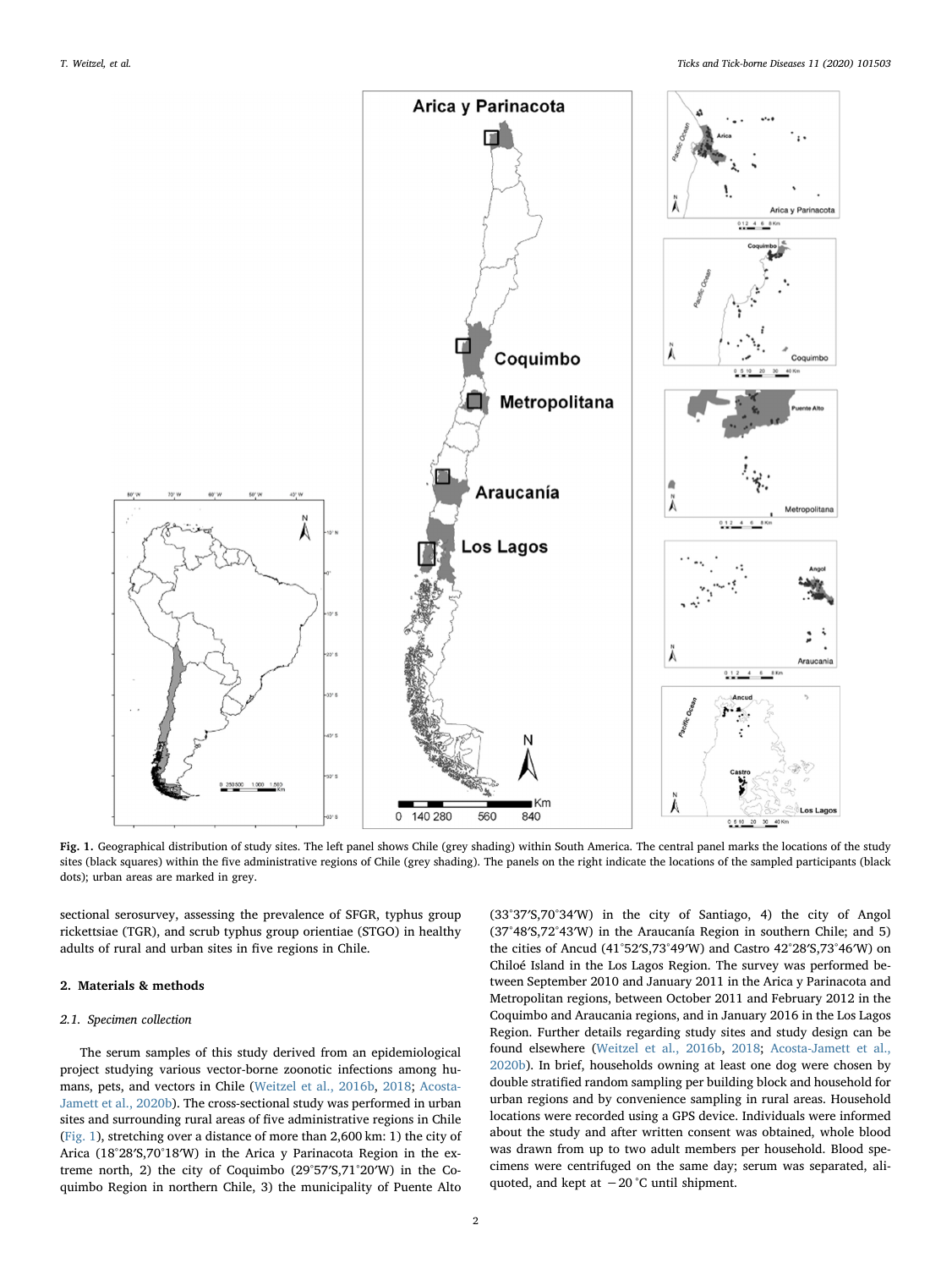<span id="page-2-0"></span>

Fig. 1. Geographical distribution of study sites. The left panel shows Chile (grey shading) within South America. The central panel marks the locations of the study sites (black squares) within the five administrative regions of Chile (grey shading). The panels on the right indicate the locations of the sampled participants (black dots); urban areas are marked in grey.

sectional serosurvey, assessing the prevalence of SFGR, typhus group rickettsiae (TGR), and scrub typhus group orientiae (STGO) in healthy adults of rural and urban sites in five regions in Chile.

## 2. Materials & methods

#### 2.1. Specimen collection

The serum samples of this study derived from an epidemiological project studying various vector-borne zoonotic infections among humans, pets, and vectors in Chile [\(Weitzel et al., 2016b](#page-6-13), [2018;](#page-6-14) [Acosta-](#page-6-15)[Jamett et al., 2020b\)](#page-6-15). The cross-sectional study was performed in urban sites and surrounding rural areas of five administrative regions in Chile ([Fig. 1](#page-2-0)), stretching over a distance of more than 2,600 km: 1) the city of Arica (18°28′S,70°18′W) in the Arica y Parinacota Region in the extreme north, 2) the city of Coquimbo (29°57′S,71°20′W) in the Coquimbo Region in northern Chile, 3) the municipality of Puente Alto (33°37′S,70°34′W) in the city of Santiago, 4) the city of Angol (37°48′S,72°43′W) in the Araucanía Region in southern Chile; and 5) the cities of Ancud (41°52′S,73°49′W) and Castro 42°28′S,73°46′W) on Chiloé Island in the Los Lagos Region. The survey was performed between September 2010 and January 2011 in the Arica y Parinacota and Metropolitan regions, between October 2011 and February 2012 in the Coquimbo and Araucania regions, and in January 2016 in the Los Lagos Region. Further details regarding study sites and study design can be found elsewhere [\(Weitzel et al., 2016b,](#page-6-13) [2018;](#page-6-14) [Acosta-Jamett et al.,](#page-6-15) [2020b\)](#page-6-15). In brief, households owning at least one dog were chosen by double stratified random sampling per building block and household for urban regions and by convenience sampling in rural areas. Household locations were recorded using a GPS device. Individuals were informed about the study and after written consent was obtained, whole blood was drawn from up to two adult members per household. Blood specimens were centrifuged on the same day; serum was separated, aliquoted, and kept at −20 °C until shipment.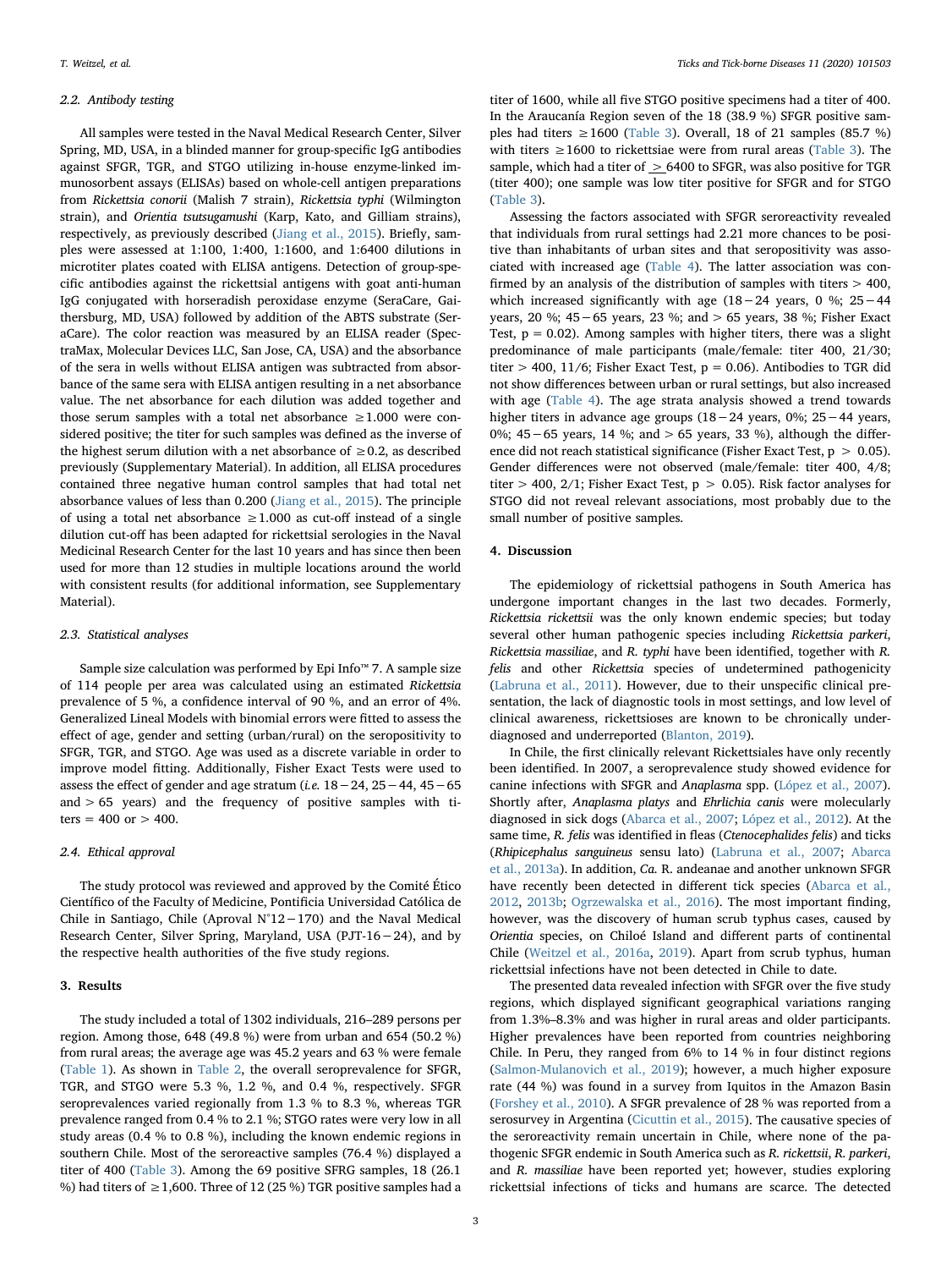#### 2.2. Antibody testing

All samples were tested in the Naval Medical Research Center, Silver Spring, MD, USA, in a blinded manner for group-specific IgG antibodies against SFGR, TGR, and STGO utilizing in-house enzyme-linked immunosorbent assays (ELISAs) based on whole-cell antigen preparations from Rickettsia conorii (Malish 7 strain), Rickettsia typhi (Wilmington strain), and Orientia tsutsugamushi (Karp, Kato, and Gilliam strains), respectively, as previously described [\(Jiang et al., 2015\)](#page-6-16). Briefly, samples were assessed at 1:100, 1:400, 1:1600, and 1:6400 dilutions in microtiter plates coated with ELISA antigens. Detection of group-specific antibodies against the rickettsial antigens with goat anti-human IgG conjugated with horseradish peroxidase enzyme (SeraCare, Gaithersburg, MD, USA) followed by addition of the ABTS substrate (SeraCare). The color reaction was measured by an ELISA reader (SpectraMax, Molecular Devices LLC, San Jose, CA, USA) and the absorbance of the sera in wells without ELISA antigen was subtracted from absorbance of the same sera with ELISA antigen resulting in a net absorbance value. The net absorbance for each dilution was added together and those serum samples with a total net absorbance  $\geq 1.000$  were considered positive; the titer for such samples was defined as the inverse of the highest serum dilution with a net absorbance of  $\geq 0.2$ , as described previously (Supplementary Material). In addition, all ELISA procedures contained three negative human control samples that had total net absorbance values of less than 0.200 [\(Jiang et al., 2015](#page-6-16)). The principle of using a total net absorbance  $\geq 1.000$  as cut-off instead of a single dilution cut-off has been adapted for rickettsial serologies in the Naval Medicinal Research Center for the last 10 years and has since then been used for more than 12 studies in multiple locations around the world with consistent results (for additional information, see Supplementary Material).

#### 2.3. Statistical analyses

Sample size calculation was performed by Epi Info™ 7. A sample size of 114 people per area was calculated using an estimated Rickettsia prevalence of 5 %, a confidence interval of 90 %, and an error of 4%. Generalized Lineal Models with binomial errors were fitted to assess the effect of age, gender and setting (urban/rural) on the seropositivity to SFGR, TGR, and STGO. Age was used as a discrete variable in order to improve model fitting. Additionally, Fisher Exact Tests were used to assess the effect of gender and age stratum (i.e. 18−24, 25−44, 45−65 and  $> 65$  years) and the frequency of positive samples with titers =  $400$  or  $> 400$ .

## 2.4. Ethical approval

The study protocol was reviewed and approved by the Comité Ético Científico of the Faculty of Medicine, Pontificia Universidad Católica de Chile in Santiago, Chile (Aproval N°12−170) and the Naval Medical Research Center, Silver Spring, Maryland, USA (PJT-16−24), and by the respective health authorities of the five study regions.

## 3. Results

The study included a total of 1302 individuals, 216–289 persons per region. Among those, 648 (49.8 %) were from urban and 654 (50.2 %) from rural areas; the average age was 45.2 years and 63 % were female ([Table 1\)](#page-4-0). As shown in [Table 2](#page-4-1), the overall seroprevalence for SFGR, TGR, and STGO were 5.3 %, 1.2 %, and 0.4 %, respectively. SFGR seroprevalences varied regionally from 1.3 % to 8.3 %, whereas TGR prevalence ranged from 0.4 % to 2.1 %; STGO rates were very low in all study areas (0.4 % to 0.8 %), including the known endemic regions in southern Chile. Most of the seroreactive samples (76.4 %) displayed a titer of 400 [\(Table 3](#page-5-0)). Among the 69 positive SFRG samples, 18 (26.1 %) had titers of  $\geq$  1,600. Three of 12 (25 %) TGR positive samples had a

titer of 1600, while all five STGO positive specimens had a titer of 400. In the Araucanía Region seven of the 18 (38.9 %) SFGR positive samples had titers  $\geq 1600$  [\(Table 3\)](#page-5-0). Overall, 18 of 21 samples (85.7 %) with titers  $\geq 1600$  to rickettsiae were from rural areas [\(Table 3](#page-5-0)). The sample, which had a titer of  $\geq$  6400 to SFGR, was also positive for TGR (titer 400); one sample was low titer positive for SFGR and for STGO ([Table 3](#page-5-0)).

Assessing the factors associated with SFGR seroreactivity revealed that individuals from rural settings had 2.21 more chances to be positive than inhabitants of urban sites and that seropositivity was associated with increased age ([Table 4\)](#page-5-1). The latter association was confirmed by an analysis of the distribution of samples with titers  $> 400$ . which increased significantly with age (18−24 years, 0 %; 25−44 years, 20 %; 45−65 years, 23 %; and > 65 years, 38 %; Fisher Exact Test,  $p = 0.02$ ). Among samples with higher titers, there was a slight predominance of male participants (male/female: titer 400, 21/30; titer > 400, 11/6; Fisher Exact Test,  $p = 0.06$ ). Antibodies to TGR did not show differences between urban or rural settings, but also increased with age ([Table 4\)](#page-5-1). The age strata analysis showed a trend towards higher titers in advance age groups (18−24 years, 0%; 25−44 years, 0%; 45−65 years, 14 %; and > 65 years, 33 %), although the difference did not reach statistical significance (Fisher Exact Test,  $p > 0.05$ ). Gender differences were not observed (male/female: titer 400, 4/8; titer > 400, 2/1; Fisher Exact Test,  $p > 0.05$ ). Risk factor analyses for STGO did not reveal relevant associations, most probably due to the small number of positive samples.

#### 4. Discussion

The epidemiology of rickettsial pathogens in South America has undergone important changes in the last two decades. Formerly, Rickettsia rickettsii was the only known endemic species; but today several other human pathogenic species including Rickettsia parkeri, Rickettsia massiliae, and R. typhi have been identified, together with R. felis and other Rickettsia species of undetermined pathogenicity ([Labruna et al., 2011\)](#page-6-17). However, due to their unspecific clinical presentation, the lack of diagnostic tools in most settings, and low level of clinical awareness, rickettsioses are known to be chronically underdiagnosed and underreported ([Blanton, 2019\)](#page-6-0).

In Chile, the first clinically relevant Rickettsiales have only recently been identified. In 2007, a seroprevalence study showed evidence for canine infections with SFGR and Anaplasma spp. ([López et al., 2007](#page-6-18)). Shortly after, Anaplasma platys and Ehrlichia canis were molecularly diagnosed in sick dogs ([Abarca et al., 2007;](#page-6-7) [López et al., 2012](#page-6-8)). At the same time, R. felis was identified in fleas (Ctenocephalides felis) and ticks (Rhipicephalus sanguineus sensu lato) [\(Labruna et al., 2007](#page-6-6); [Abarca](#page-6-5) [et al., 2013a](#page-6-5)). In addition, Ca. R. andeanae and another unknown SFGR have recently been detected in different tick species ([Abarca et al.,](#page-6-9) [2012,](#page-6-9) [2013b](#page-6-10); [Ogrzewalska et al., 2016](#page-6-11)). The most important finding, however, was the discovery of human scrub typhus cases, caused by Orientia species, on Chiloé Island and different parts of continental Chile [\(Weitzel et al., 2016a,](#page-6-4) [2019](#page-6-19)). Apart from scrub typhus, human rickettsial infections have not been detected in Chile to date.

The presented data revealed infection with SFGR over the five study regions, which displayed significant geographical variations ranging from 1.3%–8.3% and was higher in rural areas and older participants. Higher prevalences have been reported from countries neighboring Chile. In Peru, they ranged from 6% to 14 % in four distinct regions ([Salmon-Mulanovich et al., 2019](#page-6-20)); however, a much higher exposure rate (44 %) was found in a survey from Iquitos in the Amazon Basin ([Forshey et al., 2010\)](#page-6-21). A SFGR prevalence of 28 % was reported from a serosurvey in Argentina ([Cicuttin et al., 2015\)](#page-6-22). The causative species of the seroreactivity remain uncertain in Chile, where none of the pathogenic SFGR endemic in South America such as R. rickettsii, R. parkeri, and R. massiliae have been reported yet; however, studies exploring rickettsial infections of ticks and humans are scarce. The detected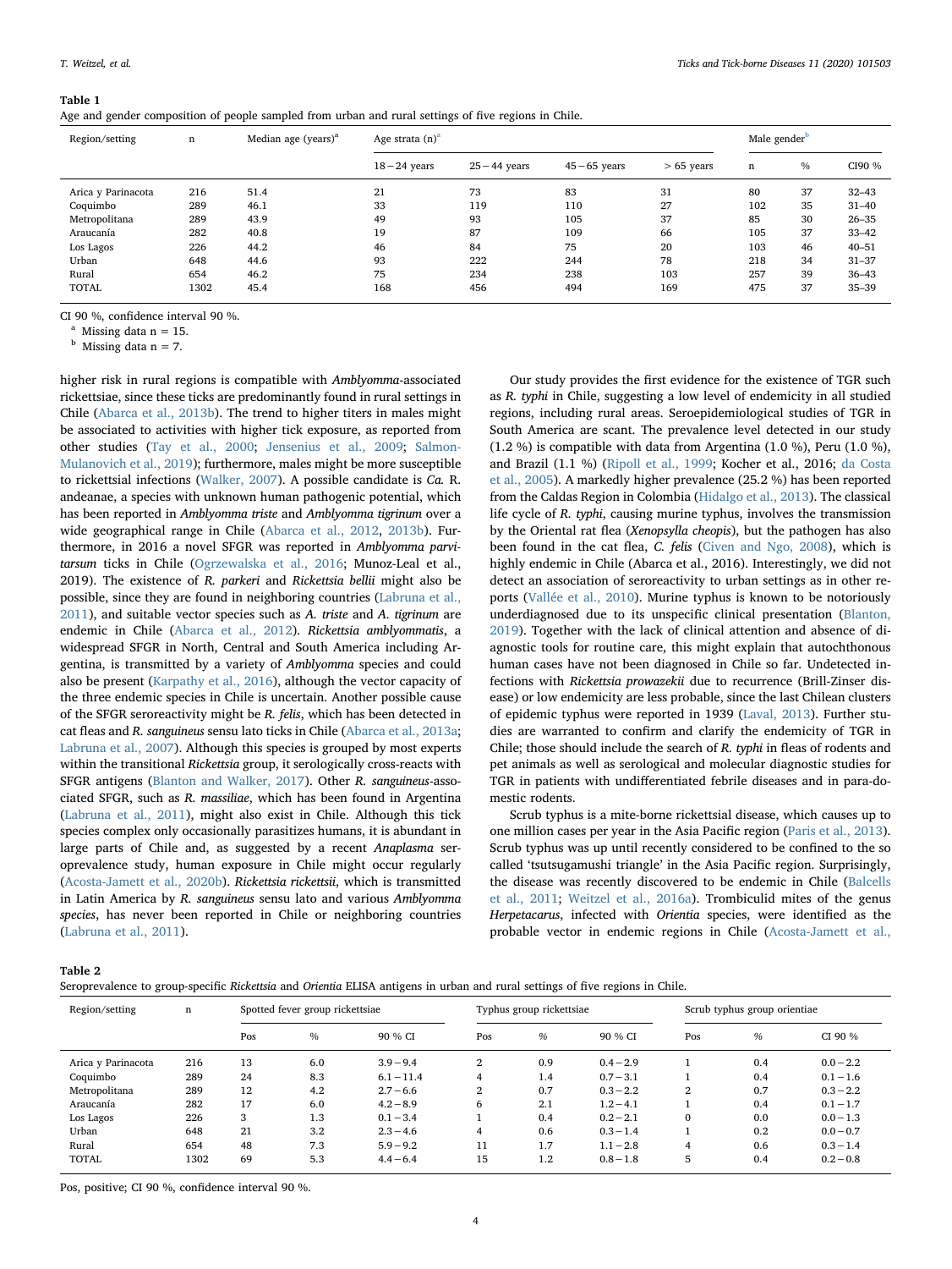#### <span id="page-4-0"></span>Table 1

|  |  |  |  | Age and gender composition of people sampled from urban and rural settings of five regions in Chile. |  |
|--|--|--|--|------------------------------------------------------------------------------------------------------|--|
|  |  |  |  |                                                                                                      |  |

| Region/setting     | n    | Median age (years) $a$ | Age strata $(n)^a$ |                 |                 |              |     | Male gender <sup>b</sup> |           |  |
|--------------------|------|------------------------|--------------------|-----------------|-----------------|--------------|-----|--------------------------|-----------|--|
|                    |      |                        | $18 - 24$ years    | $25 - 44$ years | $45 - 65$ years | $> 65$ years | n   | $\%$                     | CI90 %    |  |
| Arica y Parinacota | 216  | 51.4                   | 21                 | 73              | 83              | 31           | 80  | 37                       | $32 - 43$ |  |
| Coquimbo           | 289  | 46.1                   | 33                 | 119             | 110             | 27           | 102 | 35                       | $31 - 40$ |  |
| Metropolitana      | 289  | 43.9                   | 49                 | 93              | 105             | 37           | 85  | 30                       | $26 - 35$ |  |
| Araucanía          | 282  | 40.8                   | 19                 | 87              | 109             | 66           | 105 | 37                       | $33 - 42$ |  |
| Los Lagos          | 226  | 44.2                   | 46                 | 84              | 75              | 20           | 103 | 46                       | $40 - 51$ |  |
| Urban              | 648  | 44.6                   | 93                 | 222             | 244             | 78           | 218 | 34                       | $31 - 37$ |  |
| Rural              | 654  | 46.2                   | 75                 | 234             | 238             | 103          | 257 | 39                       | $36 - 43$ |  |
| <b>TOTAL</b>       | 1302 | 45.4                   | 168                | 456             | 494             | 169          | 475 | 37                       | $35 - 39$ |  |

CI 90 %, confidence interval 90 %.

<span id="page-4-2"></span>Missing data  $n = 15$ .

<span id="page-4-3"></span> $<sup>b</sup>$  Missing data n = 7.</sup>

higher risk in rural regions is compatible with Amblyomma-associated rickettsiae, since these ticks are predominantly found in rural settings in Chile ([Abarca et al., 2013b](#page-6-10)). The trend to higher titers in males might be associated to activities with higher tick exposure, as reported from other studies [\(Tay et al., 2000](#page-6-23); [Jensenius et al., 2009](#page-6-24); [Salmon-](#page-6-20)[Mulanovich et al., 2019\)](#page-6-20); furthermore, males might be more susceptible to rickettsial infections [\(Walker, 2007\)](#page-6-25). A possible candidate is Ca. R. andeanae, a species with unknown human pathogenic potential, which has been reported in Amblyomma triste and Amblyomma tigrinum over a wide geographical range in Chile [\(Abarca et al., 2012](#page-6-9), [2013b](#page-6-10)). Furthermore, in 2016 a novel SFGR was reported in Amblyomma parvitarsum ticks in Chile ([Ogrzewalska et al., 2016](#page-6-11); Munoz-Leal et al., 2019). The existence of R. parkeri and Rickettsia bellii might also be possible, since they are found in neighboring countries [\(Labruna et al.,](#page-6-17) [2011\)](#page-6-17), and suitable vector species such as A. triste and A. tigrinum are endemic in Chile [\(Abarca et al., 2012\)](#page-6-9). Rickettsia amblyommatis, a widespread SFGR in North, Central and South America including Argentina, is transmitted by a variety of Amblyomma species and could also be present ([Karpathy et al., 2016\)](#page-6-26), although the vector capacity of the three endemic species in Chile is uncertain. Another possible cause of the SFGR seroreactivity might be R. felis, which has been detected in cat fleas and R. sanguineus sensu lato ticks in Chile ([Abarca et al., 2013a](#page-6-5); [Labruna et al., 2007\)](#page-6-6). Although this species is grouped by most experts within the transitional Rickettsia group, it serologically cross-reacts with SFGR antigens ([Blanton and Walker, 2017\)](#page-6-27). Other R. sanguineus-associated SFGR, such as R. massiliae, which has been found in Argentina ([Labruna et al., 2011](#page-6-17)), might also exist in Chile. Although this tick species complex only occasionally parasitizes humans, it is abundant in large parts of Chile and, as suggested by a recent Anaplasma seroprevalence study, human exposure in Chile might occur regularly ([Acosta-Jamett et al., 2020b\)](#page-6-15). Rickettsia rickettsii, which is transmitted in Latin America by R. sanguineus sensu lato and various Amblyomma species, has never been reported in Chile or neighboring countries ([Labruna et al., 2011\)](#page-6-17).

Our study provides the first evidence for the existence of TGR such as R. typhi in Chile, suggesting a low level of endemicity in all studied regions, including rural areas. Seroepidemiological studies of TGR in South America are scant. The prevalence level detected in our study (1.2 %) is compatible with data from Argentina (1.0 %), Peru (1.0 %), and Brazil (1.1 %) ([Ripoll et al., 1999](#page-6-28); Kocher et al., 2016; [da Costa](#page-6-29) [et al., 2005](#page-6-29)). A markedly higher prevalence (25.2 %) has been reported from the Caldas Region in Colombia [\(Hidalgo et al., 2013](#page-6-30)). The classical life cycle of R. typhi, causing murine typhus, involves the transmission by the Oriental rat flea (Xenopsylla cheopis), but the pathogen has also been found in the cat flea, C. felis ([Civen and Ngo, 2008](#page-6-31)), which is highly endemic in Chile (Abarca et al., 2016). Interestingly, we did not detect an association of seroreactivity to urban settings as in other reports [\(Vallée et al., 2010\)](#page-6-32). Murine typhus is known to be notoriously underdiagnosed due to its unspecific clinical presentation [\(Blanton,](#page-6-0) [2019\)](#page-6-0). Together with the lack of clinical attention and absence of diagnostic tools for routine care, this might explain that autochthonous human cases have not been diagnosed in Chile so far. Undetected infections with Rickettsia prowazekii due to recurrence (Brill-Zinser disease) or low endemicity are less probable, since the last Chilean clusters of epidemic typhus were reported in 1939 [\(Laval, 2013](#page-6-33)). Further studies are warranted to confirm and clarify the endemicity of TGR in Chile; those should include the search of R. typhi in fleas of rodents and pet animals as well as serological and molecular diagnostic studies for TGR in patients with undifferentiated febrile diseases and in para-domestic rodents.

Scrub typhus is a mite-borne rickettsial disease, which causes up to one million cases per year in the Asia Pacific region [\(Paris et al., 2013](#page-6-34)). Scrub typhus was up until recently considered to be confined to the so called 'tsutsugamushi triangle' in the Asia Pacific region. Surprisingly, the disease was recently discovered to be endemic in Chile ([Balcells](#page-6-3) [et al., 2011;](#page-6-3) [Weitzel et al., 2016a\)](#page-6-4). Trombiculid mites of the genus Herpetacarus, infected with Orientia species, were identified as the probable vector in endemic regions in Chile [\(Acosta-Jamett et al.,](#page-6-35)

<span id="page-4-1"></span>Table 2

| Seroprevalence to group-specific Rickettsia and Orientia ELISA antigens in urban and rural settings of five regions in Chile. |  |  |
|-------------------------------------------------------------------------------------------------------------------------------|--|--|
|-------------------------------------------------------------------------------------------------------------------------------|--|--|

| Region/setting     | n    | Spotted fever group rickettsiae |               |              | Typhus group rickettsiae |     |             | Scrub typhus group orientiae |     |             |
|--------------------|------|---------------------------------|---------------|--------------|--------------------------|-----|-------------|------------------------------|-----|-------------|
|                    |      | Pos                             | $\frac{0}{0}$ | 90 % CI      | Pos                      | %   | 90 % CI     | Pos                          | %   | CI 90 %     |
| Arica y Parinacota | 216  | 13                              | 6.0           | $3.9 - 9.4$  | $\mathbf{2}$             | 0.9 | $0.4 - 2.9$ |                              | 0.4 | $0.0 - 2.2$ |
| Coquimbo           | 289  | 24                              | 8.3           | $6.1 - 11.4$ | 4                        | 1.4 | $0.7 - 3.1$ |                              | 0.4 | $0.1 - 1.6$ |
| Metropolitana      | 289  | 12                              | 4.2           | $2.7 - 6.6$  | 2                        | 0.7 | $0.3 - 2.2$ | $\overline{2}$               | 0.7 | $0.3 - 2.2$ |
| Araucanía          | 282  | 17                              | 6.0           | $4.2 - 8.9$  | 6                        | 2.1 | $1.2 - 4.1$ |                              | 0.4 | $0.1 - 1.7$ |
| Los Lagos          | 226  | 3                               | 1.3           | $0.1 - 3.4$  |                          | 0.4 | $0.2 - 2.1$ | $\mathbf{0}$                 | 0.0 | $0.0 - 1.3$ |
| Urban              | 648  | 21                              | 3.2           | $2.3 - 4.6$  | 4                        | 0.6 | $0.3 - 1.4$ |                              | 0.2 | $0.0 - 0.7$ |
| Rural              | 654  | 48                              | 7.3           | $5.9 - 9.2$  | 11                       | 1.7 | $1.1 - 2.8$ | 4                            | 0.6 | $0.3 - 1.4$ |
| <b>TOTAL</b>       | 1302 | 69                              | 5.3           | $4.4 - 6.4$  | 15                       | 1.2 | $0.8 - 1.8$ | 5                            | 0.4 | $0.2 - 0.8$ |

Pos, positive; CI 90 %, confidence interval 90 %.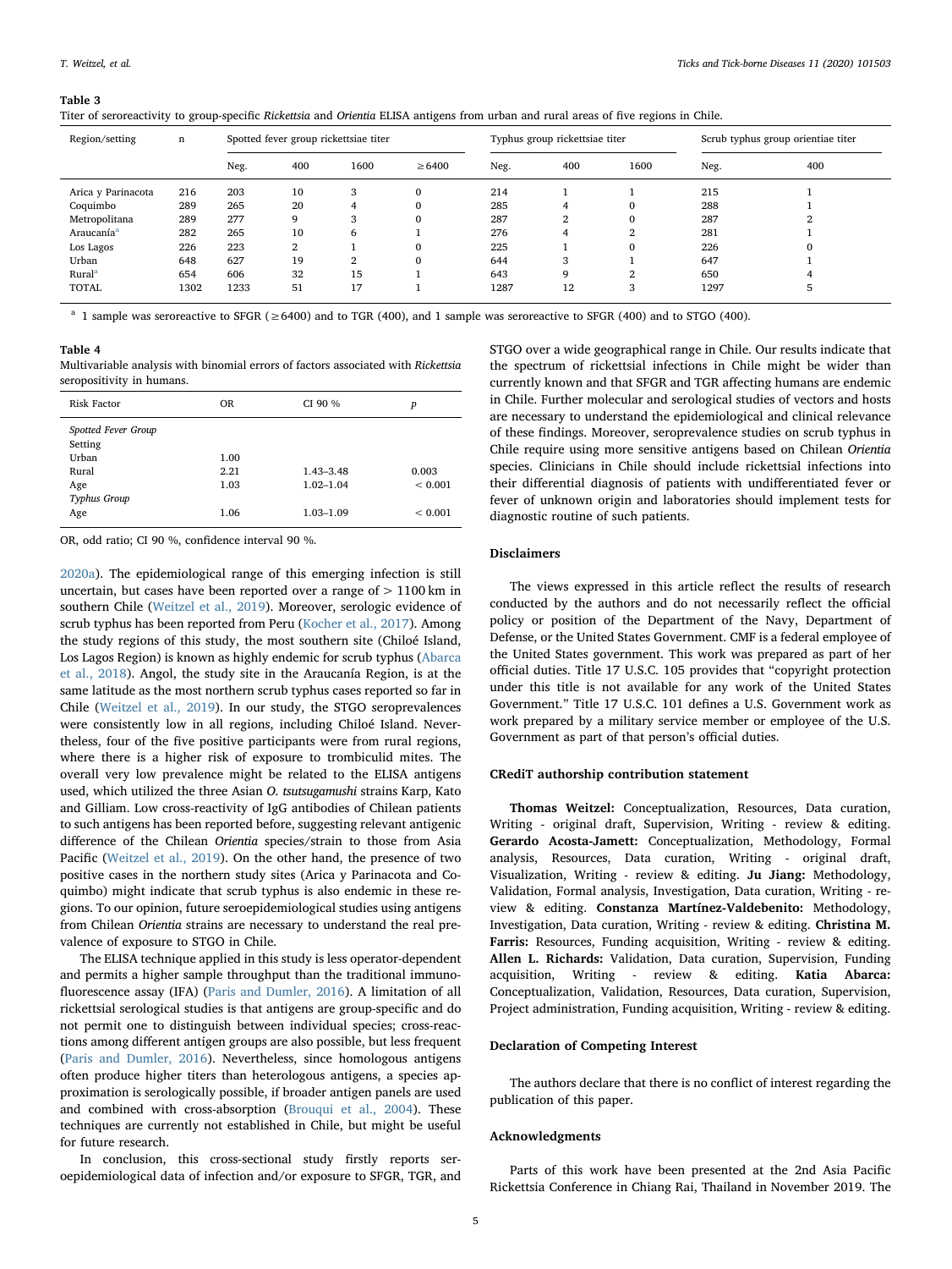#### <span id="page-5-0"></span>Table 3

| Titer of seroreactivity to group-specific Rickettsia and Orientia ELISA antigens from urban and rural areas of five regions in Chile. |  |  |
|---------------------------------------------------------------------------------------------------------------------------------------|--|--|
|                                                                                                                                       |  |  |

| Region/setting         | n    |      | Spotted fever group rickettsiae titer |      |              |      | Typhus group rickettsiae titer |          |      | Scrub typhus group orientiae titer |  |
|------------------------|------|------|---------------------------------------|------|--------------|------|--------------------------------|----------|------|------------------------------------|--|
|                        |      | Neg. | 400                                   | 1600 | $\geq 6400$  | Neg. | 400                            | 1600     | Neg. | 400                                |  |
| Arica y Parinacota     | 216  | 203  | 10                                    | 3    | $\mathbf{0}$ | 214  |                                |          | 215  |                                    |  |
| Coquimbo               | 289  | 265  | 20                                    | 4    | $\mathbf{0}$ | 285  |                                |          | 288  |                                    |  |
| Metropolitana          | 289  | 277  | 9                                     |      | $\mathbf{0}$ | 287  | 2                              |          | 287  |                                    |  |
| Araucanía <sup>a</sup> | 282  | 265  | 10                                    | 6    |              | 276  | 4                              | റ<br>∠   | 281  |                                    |  |
| Los Lagos              | 226  | 223  | 2                                     |      | $\mathbf{0}$ | 225  |                                | $\Omega$ | 226  |                                    |  |
| Urban                  | 648  | 627  | 19                                    | 2    | $\mathbf{0}$ | 644  | 3                              |          | 647  |                                    |  |
| Rural <sup>a</sup>     | 654  | 606  | 32                                    | 15   |              | 643  |                                | ີ<br>∠   | 650  |                                    |  |
| <b>TOTAL</b>           | 1302 | 1233 | 51                                    | 17   |              | 1287 | 12                             | 3        | 1297 |                                    |  |

<span id="page-5-2"></span><sup>a</sup> 1 sample was seroreactive to SFGR (≥6400) and to TGR (400), and 1 sample was seroreactive to SFGR (400) and to STGO (400).

## <span id="page-5-1"></span>Table 4

Multivariable analysis with binomial errors of factors associated with Rickettsia seropositivity in humans.

| <b>Risk Factor</b>             | <b>OR</b> | CI 90 %       | p           |
|--------------------------------|-----------|---------------|-------------|
| Spotted Fever Group<br>Setting |           |               |             |
| Urban                          | 1.00      |               |             |
| Rural                          | 2.21      | 1.43-3.48     | 0.003       |
| Age                            | 1.03      | $1.02 - 1.04$ | ${}< 0.001$ |
| Typhus Group                   |           |               |             |
| Age                            | 1.06      | 1.03-1.09     | ${}< 0.001$ |
|                                |           |               |             |

OR, odd ratio; CI 90 %, confidence interval 90 %.

[2020a\)](#page-6-35). The epidemiological range of this emerging infection is still uncertain, but cases have been reported over a range of  $> 1100$  km in southern Chile ([Weitzel et al., 2019](#page-6-19)). Moreover, serologic evidence of scrub typhus has been reported from Peru ([Kocher et al., 2017](#page-6-36)). Among the study regions of this study, the most southern site (Chiloé Island, Los Lagos Region) is known as highly endemic for scrub typhus ([Abarca](#page-6-37) [et al., 2018](#page-6-37)). Angol, the study site in the Araucanía Region, is at the same latitude as the most northern scrub typhus cases reported so far in Chile [\(Weitzel et al., 2019\)](#page-6-19). In our study, the STGO seroprevalences were consistently low in all regions, including Chiloé Island. Nevertheless, four of the five positive participants were from rural regions, where there is a higher risk of exposure to trombiculid mites. The overall very low prevalence might be related to the ELISA antigens used, which utilized the three Asian O. tsutsugamushi strains Karp, Kato and Gilliam. Low cross-reactivity of IgG antibodies of Chilean patients to such antigens has been reported before, suggesting relevant antigenic difference of the Chilean Orientia species/strain to those from Asia Pacific [\(Weitzel et al., 2019\)](#page-6-19). On the other hand, the presence of two positive cases in the northern study sites (Arica y Parinacota and Coquimbo) might indicate that scrub typhus is also endemic in these regions. To our opinion, future seroepidemiological studies using antigens from Chilean Orientia strains are necessary to understand the real prevalence of exposure to STGO in Chile.

The ELISA technique applied in this study is less operator-dependent and permits a higher sample throughput than the traditional immunofluorescence assay (IFA) [\(Paris and Dumler, 2016\)](#page-6-38). A limitation of all rickettsial serological studies is that antigens are group-specific and do not permit one to distinguish between individual species; cross-reactions among different antigen groups are also possible, but less frequent ([Paris and Dumler, 2016\)](#page-6-38). Nevertheless, since homologous antigens often produce higher titers than heterologous antigens, a species approximation is serologically possible, if broader antigen panels are used and combined with cross-absorption ([Brouqui et al., 2004](#page-6-39)). These techniques are currently not established in Chile, but might be useful for future research.

In conclusion, this cross-sectional study firstly reports seroepidemiological data of infection and/or exposure to SFGR, TGR, and STGO over a wide geographical range in Chile. Our results indicate that the spectrum of rickettsial infections in Chile might be wider than currently known and that SFGR and TGR affecting humans are endemic in Chile. Further molecular and serological studies of vectors and hosts are necessary to understand the epidemiological and clinical relevance of these findings. Moreover, seroprevalence studies on scrub typhus in Chile require using more sensitive antigens based on Chilean Orientia species. Clinicians in Chile should include rickettsial infections into their differential diagnosis of patients with undifferentiated fever or fever of unknown origin and laboratories should implement tests for diagnostic routine of such patients.

#### Disclaimers

The views expressed in this article reflect the results of research conducted by the authors and do not necessarily reflect the official policy or position of the Department of the Navy, Department of Defense, or the United States Government. CMF is a federal employee of the United States government. This work was prepared as part of her official duties. Title 17 U.S.C. 105 provides that "copyright protection under this title is not available for any work of the United States Government." Title 17 U.S.C. 101 defines a U.S. Government work as work prepared by a military service member or employee of the U.S. Government as part of that person's official duties.

## CRediT authorship contribution statement

Thomas Weitzel: Conceptualization, Resources, Data curation, Writing - original draft, Supervision, Writing - review & editing. Gerardo Acosta-Jamett: Conceptualization, Methodology, Formal analysis, Resources, Data curation, Writing - original draft, Visualization, Writing - review & editing. Ju Jiang: Methodology, Validation, Formal analysis, Investigation, Data curation, Writing - review & editing. Constanza Martínez-Valdebenito: Methodology, Investigation, Data curation, Writing - review & editing. Christina M. Farris: Resources, Funding acquisition, Writing - review & editing. Allen L. Richards: Validation, Data curation, Supervision, Funding acquisition, Writing - review & editing. Katia Abarca: Conceptualization, Validation, Resources, Data curation, Supervision, Project administration, Funding acquisition, Writing - review & editing.

## Declaration of Competing Interest

The authors declare that there is no conflict of interest regarding the publication of this paper.

## Acknowledgments

Parts of this work have been presented at the 2nd Asia Pacific Rickettsia Conference in Chiang Rai, Thailand in November 2019. The